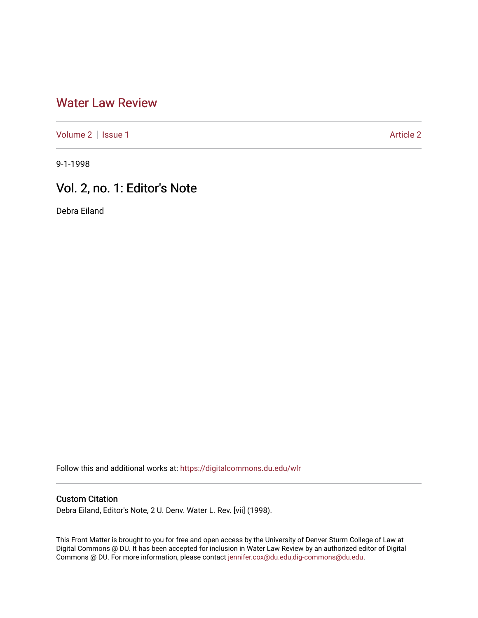## [Water Law Review](https://digitalcommons.du.edu/wlr)

[Volume 2](https://digitalcommons.du.edu/wlr/vol2) | [Issue 1](https://digitalcommons.du.edu/wlr/vol2/iss1) [Article 2](https://digitalcommons.du.edu/wlr/vol2/iss1/2) | Article 2 Article 2 | Article 2 | Article 2 | Article 2 | Article 2 | Article 2

9-1-1998

## Vol. 2, no. 1: Editor's Note

Debra Eiland

Follow this and additional works at: [https://digitalcommons.du.edu/wlr](https://digitalcommons.du.edu/wlr?utm_source=digitalcommons.du.edu%2Fwlr%2Fvol2%2Fiss1%2F2&utm_medium=PDF&utm_campaign=PDFCoverPages) 

## Custom Citation

Debra Eiland, Editor's Note, 2 U. Denv. Water L. Rev. [vii] (1998).

This Front Matter is brought to you for free and open access by the University of Denver Sturm College of Law at Digital Commons @ DU. It has been accepted for inclusion in Water Law Review by an authorized editor of Digital Commons @ DU. For more information, please contact [jennifer.cox@du.edu,dig-commons@du.edu.](mailto:jennifer.cox@du.edu,dig-commons@du.edu)